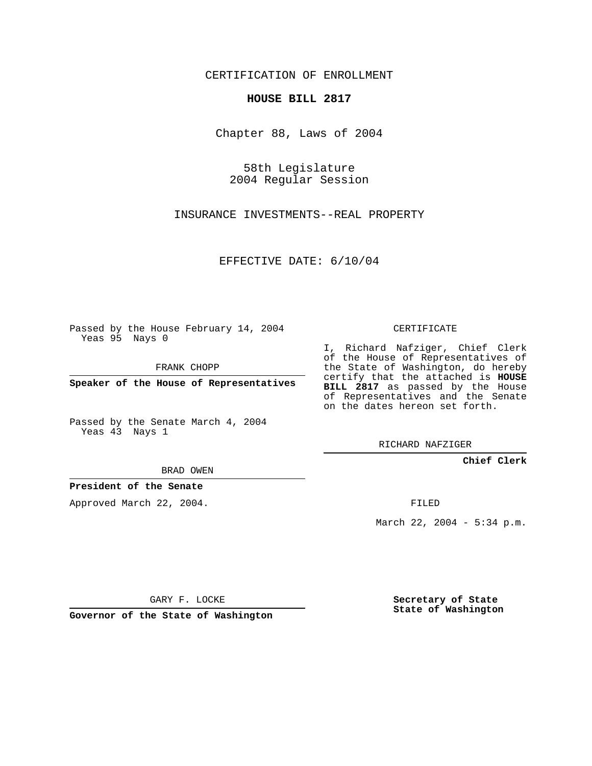CERTIFICATION OF ENROLLMENT

## **HOUSE BILL 2817**

Chapter 88, Laws of 2004

58th Legislature 2004 Regular Session

INSURANCE INVESTMENTS--REAL PROPERTY

EFFECTIVE DATE: 6/10/04

Passed by the House February 14, 2004 Yeas 95 Nays 0

FRANK CHOPP

**Speaker of the House of Representatives**

Passed by the Senate March 4, 2004 Yeas 43 Nays 1

BRAD OWEN

**President of the Senate**

Approved March 22, 2004.

CERTIFICATE

I, Richard Nafziger, Chief Clerk of the House of Representatives of the State of Washington, do hereby certify that the attached is **HOUSE BILL 2817** as passed by the House of Representatives and the Senate on the dates hereon set forth.

RICHARD NAFZIGER

**Chief Clerk**

FILED

March 22, 2004 - 5:34 p.m.

GARY F. LOCKE

**Governor of the State of Washington**

**Secretary of State State of Washington**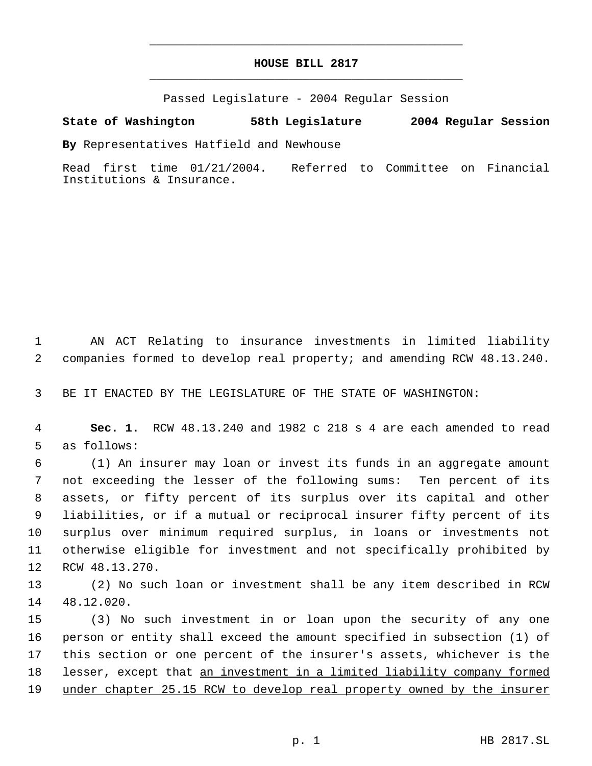## **HOUSE BILL 2817** \_\_\_\_\_\_\_\_\_\_\_\_\_\_\_\_\_\_\_\_\_\_\_\_\_\_\_\_\_\_\_\_\_\_\_\_\_\_\_\_\_\_\_\_\_

\_\_\_\_\_\_\_\_\_\_\_\_\_\_\_\_\_\_\_\_\_\_\_\_\_\_\_\_\_\_\_\_\_\_\_\_\_\_\_\_\_\_\_\_\_

Passed Legislature - 2004 Regular Session

## **State of Washington 58th Legislature 2004 Regular Session**

**By** Representatives Hatfield and Newhouse

Read first time 01/21/2004. Referred to Committee on Financial Institutions & Insurance.

 AN ACT Relating to insurance investments in limited liability companies formed to develop real property; and amending RCW 48.13.240.

BE IT ENACTED BY THE LEGISLATURE OF THE STATE OF WASHINGTON:

 **Sec. 1.** RCW 48.13.240 and 1982 c 218 s 4 are each amended to read as follows:

 (1) An insurer may loan or invest its funds in an aggregate amount not exceeding the lesser of the following sums: Ten percent of its assets, or fifty percent of its surplus over its capital and other liabilities, or if a mutual or reciprocal insurer fifty percent of its surplus over minimum required surplus, in loans or investments not otherwise eligible for investment and not specifically prohibited by RCW 48.13.270.

 (2) No such loan or investment shall be any item described in RCW 48.12.020.

 (3) No such investment in or loan upon the security of any one person or entity shall exceed the amount specified in subsection (1) of this section or one percent of the insurer's assets, whichever is the 18 lesser, except that an investment in a limited liability company formed 19 under chapter 25.15 RCW to develop real property owned by the insurer